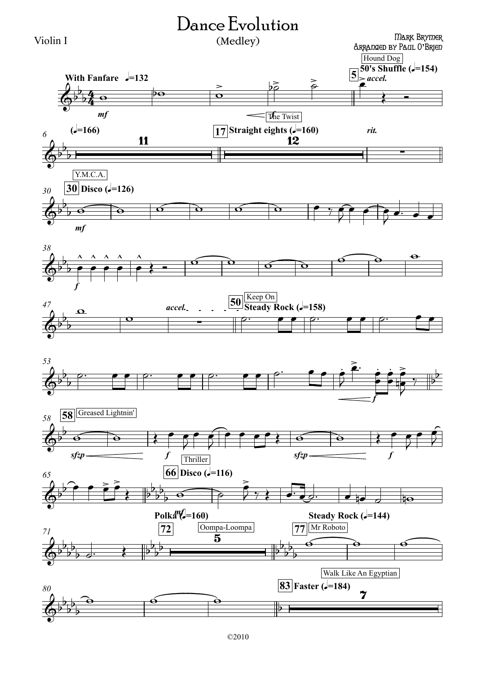